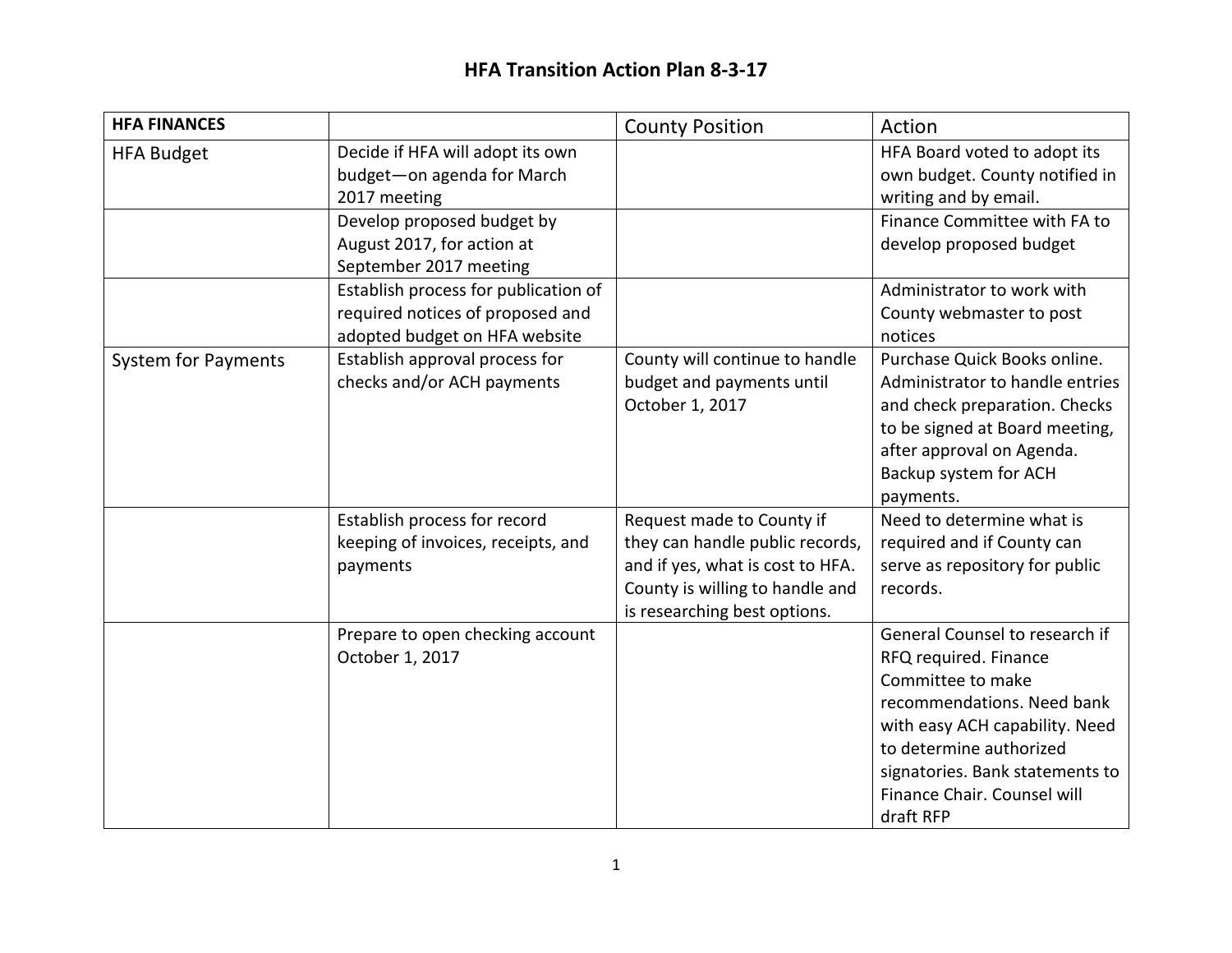| <b>HFA FINANCES</b>        |                                                                                                              | <b>County Position</b>                                                                                                                                              | Action                                                                                                                                                                                                                                                 |
|----------------------------|--------------------------------------------------------------------------------------------------------------|---------------------------------------------------------------------------------------------------------------------------------------------------------------------|--------------------------------------------------------------------------------------------------------------------------------------------------------------------------------------------------------------------------------------------------------|
| <b>HFA Budget</b>          | Decide if HFA will adopt its own<br>budget-on agenda for March<br>2017 meeting<br>Develop proposed budget by |                                                                                                                                                                     | HFA Board voted to adopt its<br>own budget. County notified in<br>writing and by email.<br>Finance Committee with FA to                                                                                                                                |
|                            | August 2017, for action at<br>September 2017 meeting                                                         |                                                                                                                                                                     | develop proposed budget                                                                                                                                                                                                                                |
|                            | Establish process for publication of<br>required notices of proposed and<br>adopted budget on HFA website    |                                                                                                                                                                     | Administrator to work with<br>County webmaster to post<br>notices                                                                                                                                                                                      |
| <b>System for Payments</b> | Establish approval process for<br>checks and/or ACH payments                                                 | County will continue to handle<br>budget and payments until<br>October 1, 2017                                                                                      | Purchase Quick Books online.<br>Administrator to handle entries<br>and check preparation. Checks<br>to be signed at Board meeting,<br>after approval on Agenda.<br>Backup system for ACH<br>payments.                                                  |
|                            | Establish process for record<br>keeping of invoices, receipts, and<br>payments                               | Request made to County if<br>they can handle public records,<br>and if yes, what is cost to HFA.<br>County is willing to handle and<br>is researching best options. | Need to determine what is<br>required and if County can<br>serve as repository for public<br>records.                                                                                                                                                  |
|                            | Prepare to open checking account<br>October 1, 2017                                                          |                                                                                                                                                                     | General Counsel to research if<br>RFQ required. Finance<br>Committee to make<br>recommendations. Need bank<br>with easy ACH capability. Need<br>to determine authorized<br>signatories. Bank statements to<br>Finance Chair. Counsel will<br>draft RFP |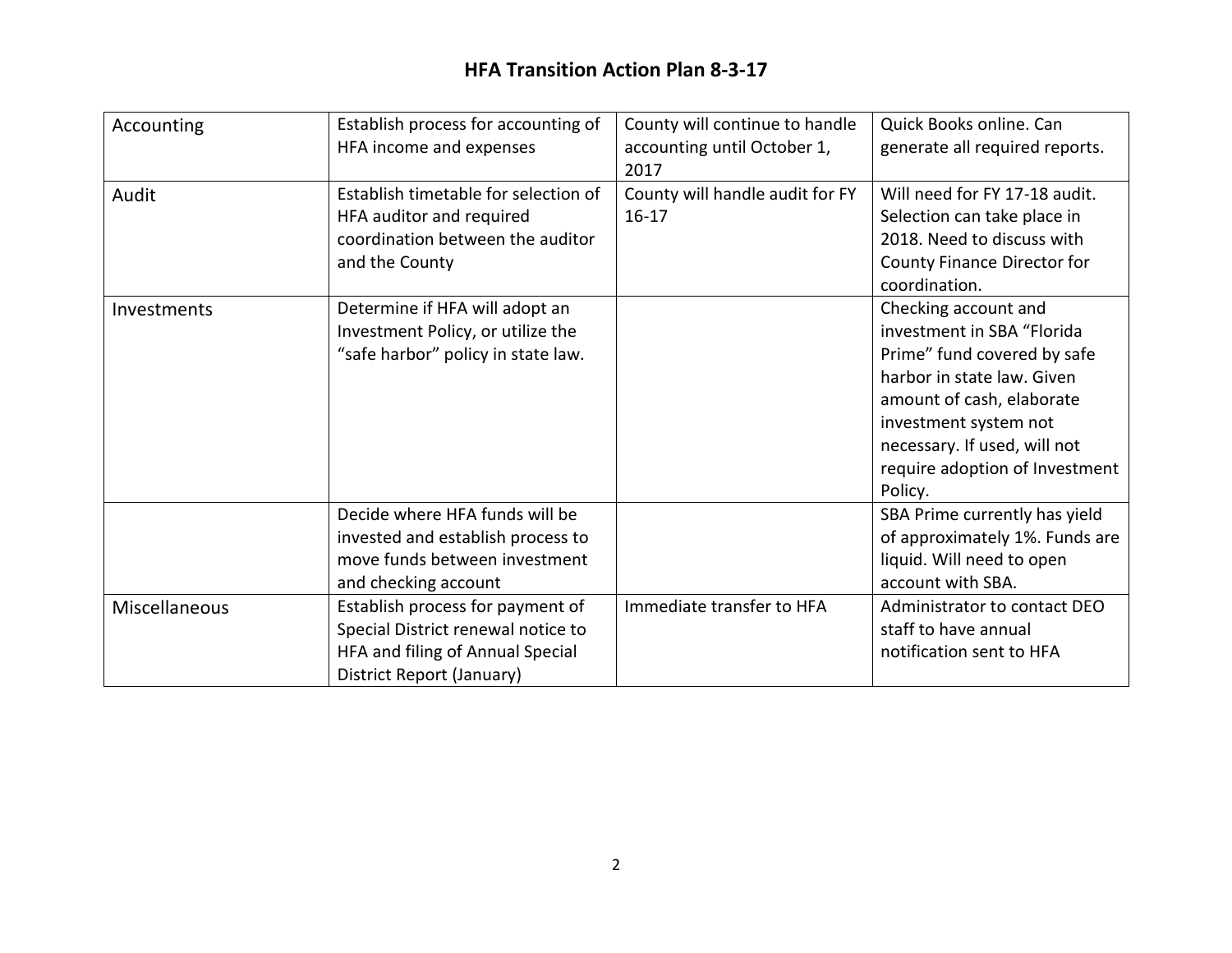## **HFA Transition Action Plan 8-3-17**

| Accounting    | Establish process for accounting of<br>HFA income and expenses                                                                          | County will continue to handle<br>accounting until October 1,<br>2017 | Quick Books online. Can<br>generate all required reports.                                                                                                                                                                                          |
|---------------|-----------------------------------------------------------------------------------------------------------------------------------------|-----------------------------------------------------------------------|----------------------------------------------------------------------------------------------------------------------------------------------------------------------------------------------------------------------------------------------------|
| Audit         | Establish timetable for selection of<br>HFA auditor and required<br>coordination between the auditor<br>and the County                  | County will handle audit for FY<br>$16 - 17$                          | Will need for FY 17-18 audit.<br>Selection can take place in<br>2018. Need to discuss with<br>County Finance Director for<br>coordination.                                                                                                         |
| Investments   | Determine if HFA will adopt an<br>Investment Policy, or utilize the<br>"safe harbor" policy in state law.                               |                                                                       | Checking account and<br>investment in SBA "Florida<br>Prime" fund covered by safe<br>harbor in state law. Given<br>amount of cash, elaborate<br>investment system not<br>necessary. If used, will not<br>require adoption of Investment<br>Policy. |
|               | Decide where HFA funds will be<br>invested and establish process to<br>move funds between investment<br>and checking account            |                                                                       | SBA Prime currently has yield<br>of approximately 1%. Funds are<br>liquid. Will need to open<br>account with SBA.                                                                                                                                  |
| Miscellaneous | Establish process for payment of<br>Special District renewal notice to<br>HFA and filing of Annual Special<br>District Report (January) | Immediate transfer to HFA                                             | Administrator to contact DEO<br>staff to have annual<br>notification sent to HFA                                                                                                                                                                   |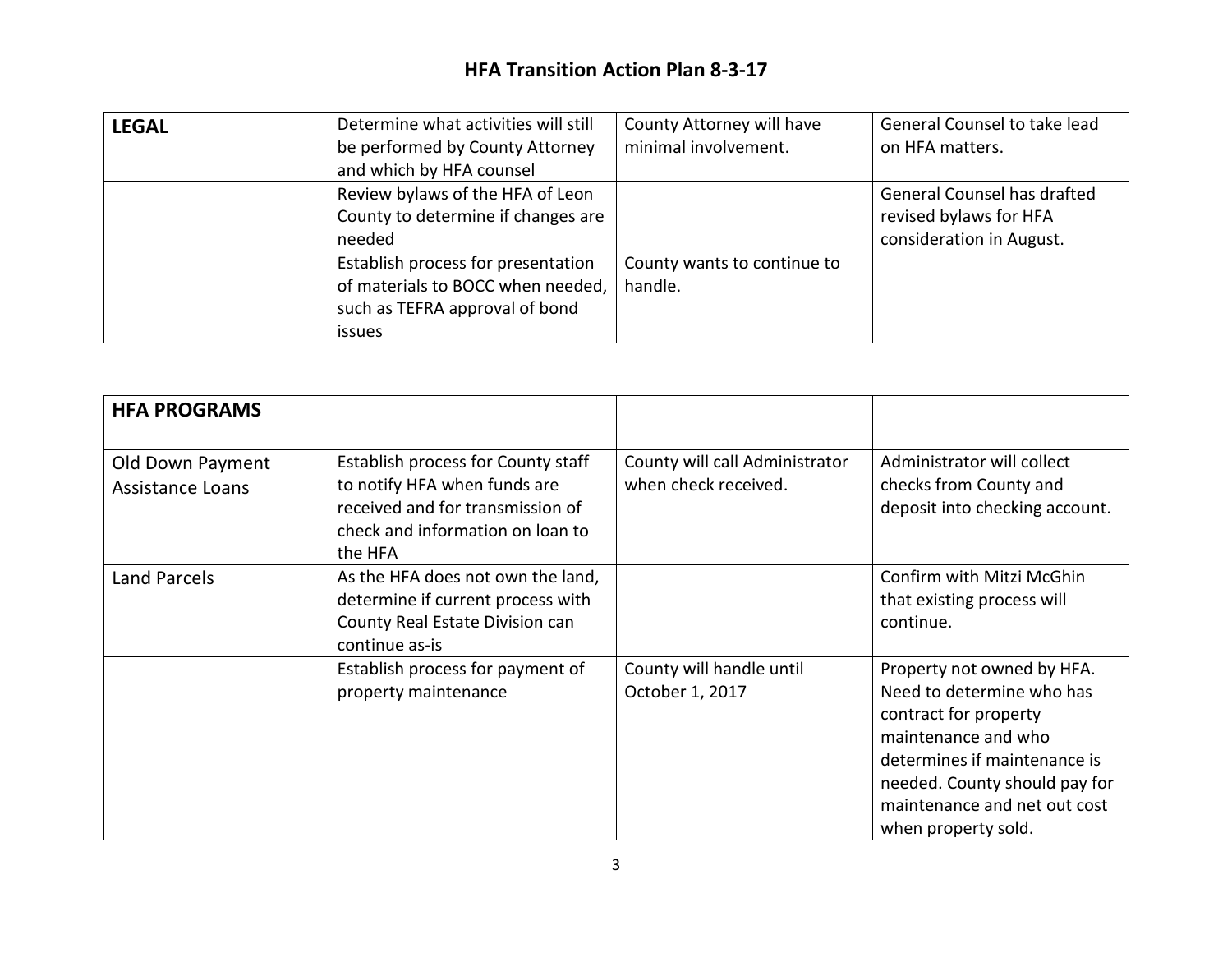## **HFA Transition Action Plan 8-3-17**

| <b>LEGAL</b> | Determine what activities will still | County Attorney will have   | General Counsel to take lead |
|--------------|--------------------------------------|-----------------------------|------------------------------|
|              | be performed by County Attorney      | minimal involvement.        | on HFA matters.              |
|              | and which by HFA counsel             |                             |                              |
|              | Review bylaws of the HFA of Leon     |                             | General Counsel has drafted  |
|              | County to determine if changes are   |                             | revised bylaws for HFA       |
|              | needed                               |                             | consideration in August.     |
|              | Establish process for presentation   | County wants to continue to |                              |
|              | of materials to BOCC when needed,    | handle.                     |                              |
|              | such as TEFRA approval of bond       |                             |                              |
|              | issues                               |                             |                              |

| <b>HFA PROGRAMS</b>                         |                                                                                                                                                       |                                                        |                                                                                                                                                                                                                                 |
|---------------------------------------------|-------------------------------------------------------------------------------------------------------------------------------------------------------|--------------------------------------------------------|---------------------------------------------------------------------------------------------------------------------------------------------------------------------------------------------------------------------------------|
| Old Down Payment<br><b>Assistance Loans</b> | Establish process for County staff<br>to notify HFA when funds are<br>received and for transmission of<br>check and information on loan to<br>the HFA | County will call Administrator<br>when check received. | Administrator will collect<br>checks from County and<br>deposit into checking account.                                                                                                                                          |
| <b>Land Parcels</b>                         | As the HFA does not own the land,<br>determine if current process with<br>County Real Estate Division can<br>continue as-is                           |                                                        | Confirm with Mitzi McGhin<br>that existing process will<br>continue.                                                                                                                                                            |
|                                             | Establish process for payment of<br>property maintenance                                                                                              | County will handle until<br>October 1, 2017            | Property not owned by HFA.<br>Need to determine who has<br>contract for property<br>maintenance and who<br>determines if maintenance is<br>needed. County should pay for<br>maintenance and net out cost<br>when property sold. |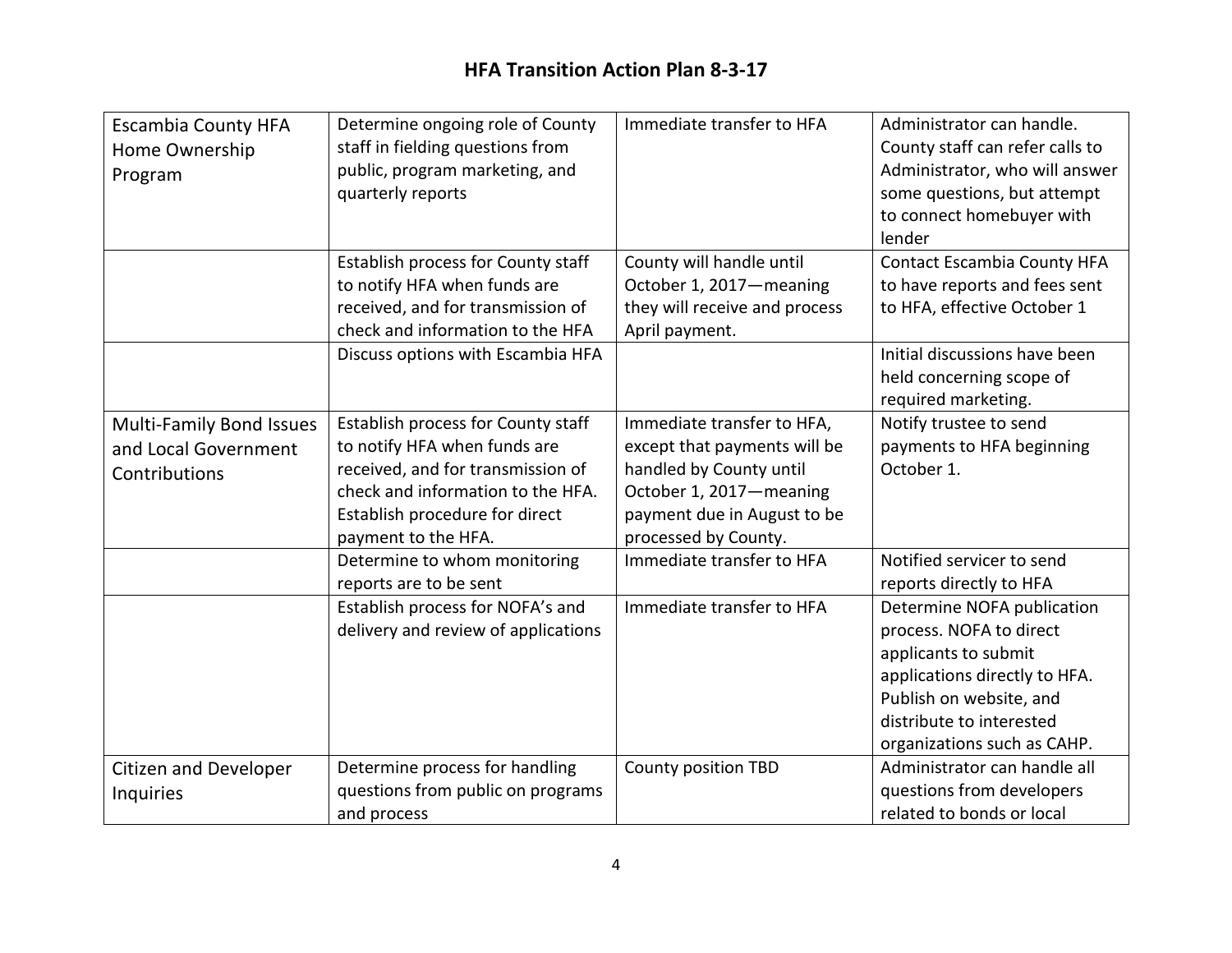| <b>Escambia County HFA</b><br>Home Ownership<br>Program                  | Determine ongoing role of County<br>staff in fielding questions from<br>public, program marketing, and<br>quarterly reports                                                                           | Immediate transfer to HFA                                                                                                                                               | Administrator can handle.<br>County staff can refer calls to<br>Administrator, who will answer<br>some questions, but attempt<br>to connect homebuyer with<br>lender                                 |
|--------------------------------------------------------------------------|-------------------------------------------------------------------------------------------------------------------------------------------------------------------------------------------------------|-------------------------------------------------------------------------------------------------------------------------------------------------------------------------|------------------------------------------------------------------------------------------------------------------------------------------------------------------------------------------------------|
|                                                                          | Establish process for County staff<br>to notify HFA when funds are<br>received, and for transmission of<br>check and information to the HFA                                                           | County will handle until<br>October 1, 2017-meaning<br>they will receive and process<br>April payment.                                                                  | <b>Contact Escambia County HFA</b><br>to have reports and fees sent<br>to HFA, effective October 1                                                                                                   |
|                                                                          | Discuss options with Escambia HFA                                                                                                                                                                     |                                                                                                                                                                         | Initial discussions have been<br>held concerning scope of<br>required marketing.                                                                                                                     |
| <b>Multi-Family Bond Issues</b><br>and Local Government<br>Contributions | Establish process for County staff<br>to notify HFA when funds are<br>received, and for transmission of<br>check and information to the HFA.<br>Establish procedure for direct<br>payment to the HFA. | Immediate transfer to HFA,<br>except that payments will be<br>handled by County until<br>October 1, 2017-meaning<br>payment due in August to be<br>processed by County. | Notify trustee to send<br>payments to HFA beginning<br>October 1.                                                                                                                                    |
|                                                                          | Determine to whom monitoring<br>reports are to be sent                                                                                                                                                | Immediate transfer to HFA                                                                                                                                               | Notified servicer to send<br>reports directly to HFA                                                                                                                                                 |
|                                                                          | Establish process for NOFA's and<br>delivery and review of applications                                                                                                                               | Immediate transfer to HFA                                                                                                                                               | Determine NOFA publication<br>process. NOFA to direct<br>applicants to submit<br>applications directly to HFA.<br>Publish on website, and<br>distribute to interested<br>organizations such as CAHP. |
| <b>Citizen and Developer</b><br><b>Inquiries</b>                         | Determine process for handling<br>questions from public on programs<br>and process                                                                                                                    | <b>County position TBD</b>                                                                                                                                              | Administrator can handle all<br>questions from developers<br>related to bonds or local                                                                                                               |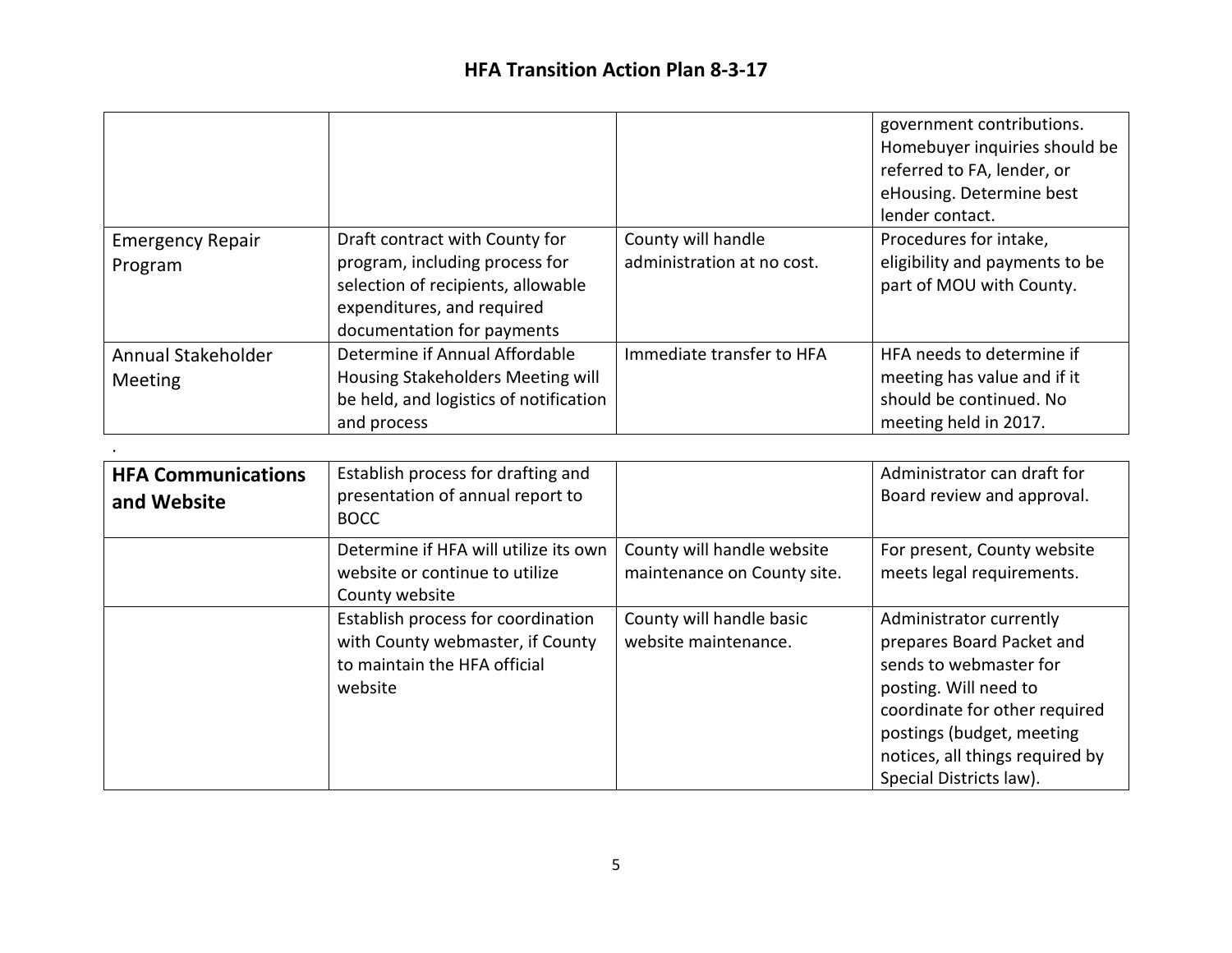|                         |                                        |                            | government contributions.<br>Homebuyer inquiries should be<br>referred to FA, lender, or<br>eHousing. Determine best<br>lender contact. |
|-------------------------|----------------------------------------|----------------------------|-----------------------------------------------------------------------------------------------------------------------------------------|
| <b>Emergency Repair</b> | Draft contract with County for         | County will handle         | Procedures for intake,                                                                                                                  |
| Program                 | program, including process for         | administration at no cost. | eligibility and payments to be                                                                                                          |
|                         | selection of recipients, allowable     |                            | part of MOU with County.                                                                                                                |
|                         | expenditures, and required             |                            |                                                                                                                                         |
|                         | documentation for payments             |                            |                                                                                                                                         |
| Annual Stakeholder      | Determine if Annual Affordable         | Immediate transfer to HFA  | HFA needs to determine if                                                                                                               |
| <b>Meeting</b>          | Housing Stakeholders Meeting will      |                            | meeting has value and if it                                                                                                             |
|                         | be held, and logistics of notification |                            | should be continued. No                                                                                                                 |
|                         | and process                            |                            | meeting held in 2017.                                                                                                                   |

.

| <b>HFA Communications</b><br>and Website | Establish process for drafting and<br>presentation of annual report to<br><b>BOCC</b>                             |                                                           | Administrator can draft for<br>Board review and approval.                                                                                                                                                                           |
|------------------------------------------|-------------------------------------------------------------------------------------------------------------------|-----------------------------------------------------------|-------------------------------------------------------------------------------------------------------------------------------------------------------------------------------------------------------------------------------------|
|                                          | Determine if HFA will utilize its own<br>website or continue to utilize<br>County website                         | County will handle website<br>maintenance on County site. | For present, County website<br>meets legal requirements.                                                                                                                                                                            |
|                                          | Establish process for coordination<br>with County webmaster, if County<br>to maintain the HFA official<br>website | County will handle basic<br>website maintenance.          | Administrator currently<br>prepares Board Packet and<br>sends to webmaster for<br>posting. Will need to<br>coordinate for other required<br>postings (budget, meeting<br>notices, all things required by<br>Special Districts law). |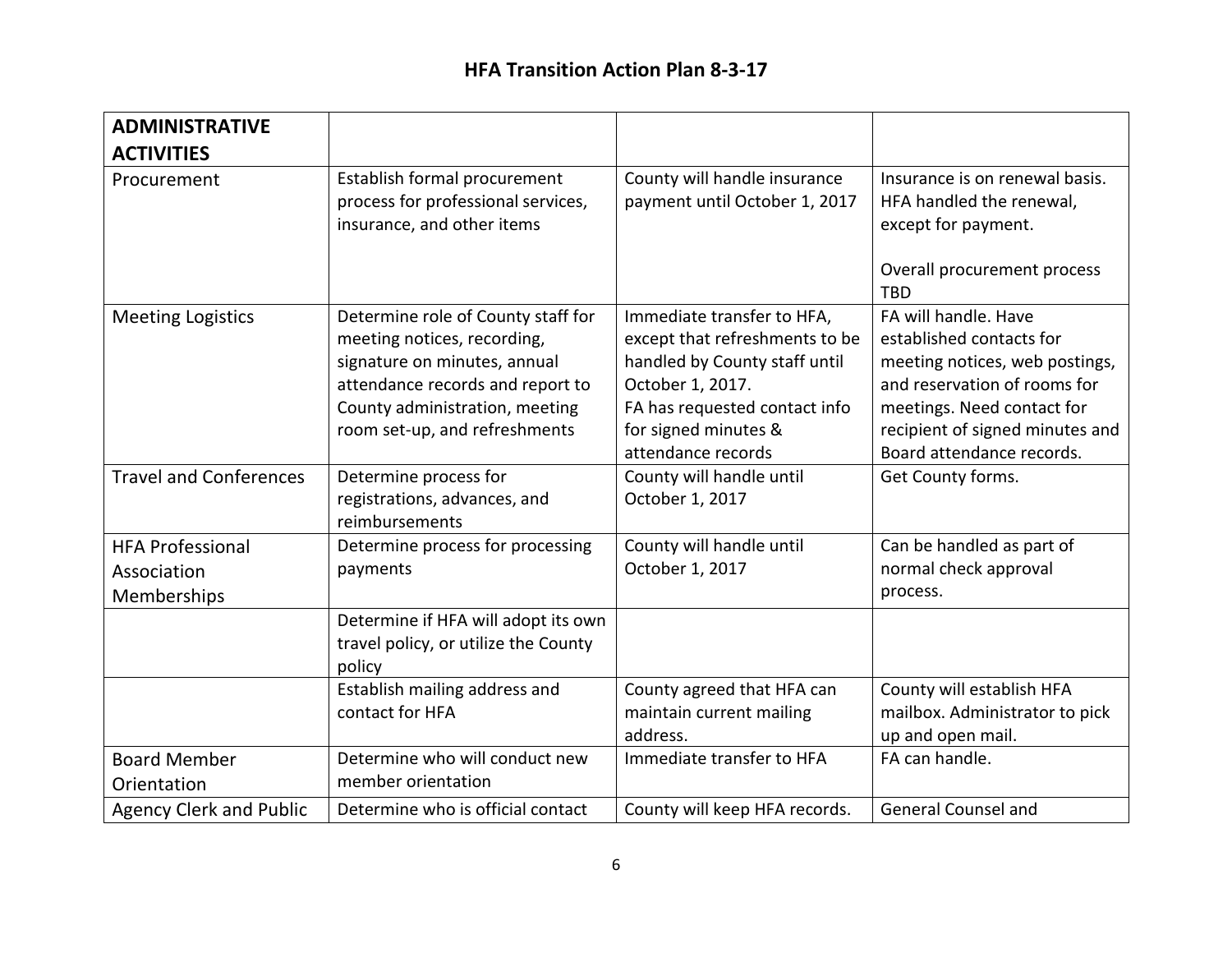| <b>ADMINISTRATIVE</b>                                 |                                                                                                                                                                                                          |                                                                                                                                                                                                  |                                                                                                                                                                                                                  |
|-------------------------------------------------------|----------------------------------------------------------------------------------------------------------------------------------------------------------------------------------------------------------|--------------------------------------------------------------------------------------------------------------------------------------------------------------------------------------------------|------------------------------------------------------------------------------------------------------------------------------------------------------------------------------------------------------------------|
| <b>ACTIVITIES</b><br>Procurement                      | Establish formal procurement<br>process for professional services,<br>insurance, and other items                                                                                                         | County will handle insurance<br>payment until October 1, 2017                                                                                                                                    | Insurance is on renewal basis.<br>HFA handled the renewal,<br>except for payment.<br>Overall procurement process<br><b>TBD</b>                                                                                   |
| <b>Meeting Logistics</b>                              | Determine role of County staff for<br>meeting notices, recording,<br>signature on minutes, annual<br>attendance records and report to<br>County administration, meeting<br>room set-up, and refreshments | Immediate transfer to HFA,<br>except that refreshments to be<br>handled by County staff until<br>October 1, 2017.<br>FA has requested contact info<br>for signed minutes &<br>attendance records | FA will handle. Have<br>established contacts for<br>meeting notices, web postings,<br>and reservation of rooms for<br>meetings. Need contact for<br>recipient of signed minutes and<br>Board attendance records. |
| <b>Travel and Conferences</b>                         | Determine process for<br>registrations, advances, and<br>reimbursements                                                                                                                                  | County will handle until<br>October 1, 2017                                                                                                                                                      | Get County forms.                                                                                                                                                                                                |
| <b>HFA Professional</b><br>Association<br>Memberships | Determine process for processing<br>payments                                                                                                                                                             | County will handle until<br>October 1, 2017                                                                                                                                                      | Can be handled as part of<br>normal check approval<br>process.                                                                                                                                                   |
|                                                       | Determine if HFA will adopt its own<br>travel policy, or utilize the County<br>policy                                                                                                                    |                                                                                                                                                                                                  |                                                                                                                                                                                                                  |
|                                                       | Establish mailing address and<br>contact for HFA                                                                                                                                                         | County agreed that HFA can<br>maintain current mailing<br>address.                                                                                                                               | County will establish HFA<br>mailbox. Administrator to pick<br>up and open mail.                                                                                                                                 |
| <b>Board Member</b><br>Orientation                    | Determine who will conduct new<br>member orientation                                                                                                                                                     | Immediate transfer to HFA                                                                                                                                                                        | FA can handle.                                                                                                                                                                                                   |
| <b>Agency Clerk and Public</b>                        | Determine who is official contact                                                                                                                                                                        | County will keep HFA records.                                                                                                                                                                    | <b>General Counsel and</b>                                                                                                                                                                                       |